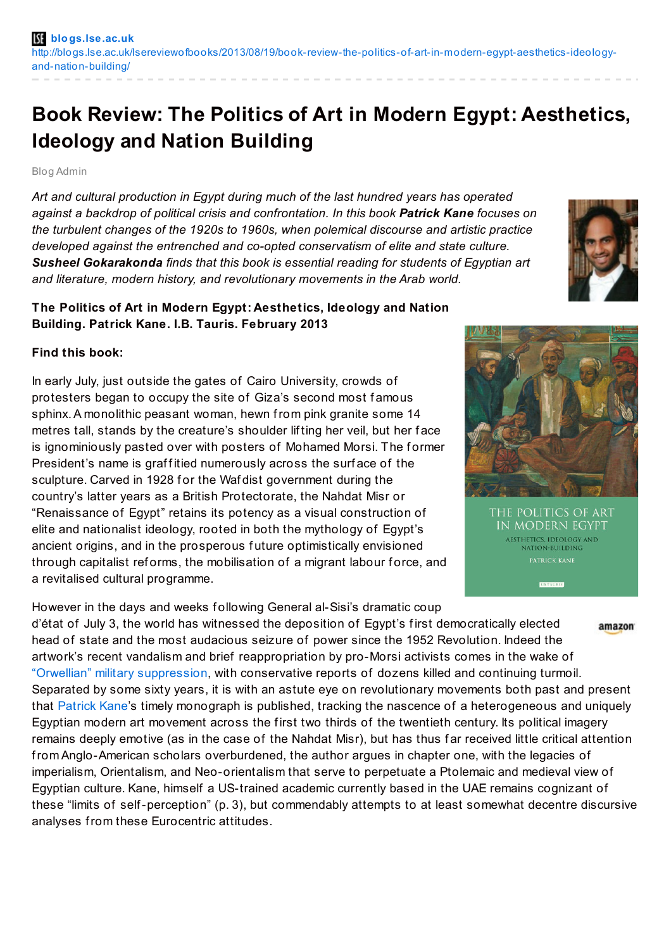## **Book Review: The Politics of Art in Modern Egypt: Aesthetics, Ideology and Nation Building**

Blog Admin

*Art and cultural production in Egypt during much of the last hundred years has operated against a backdrop of political crisis and confrontation. In this book Patrick Kane focuses on the turbulent changes of the 1920s to 1960s, when polemical discourse and artistic practice developed against the entrenched and co-opted conservatism of elite and state culture. Susheel Gokarakonda finds that this book is essential reading for students of Egyptian art and literature, modern history, and revolutionary movements in the Arab world.*



## **The Politics of Art in Modern Egypt: Aesthetics, Ideology and Nation Building. Patrick Kane. I.B. Tauris. February 2013**

## **Find this book:**

In early July, just outside the gates of Cairo University, crowds of protesters began to occupy the site of Giza's second most famous sphinx.A monolithic peasant woman, hewn from pink granite some 14 metres tall, stands by the creature's shoulder lif ting her veil, but her f ace is ignominiously pasted over with posters of Mohamed Morsi. The former President's name is graffitied numerously across the surface of the sculpture. Carved in 1928 for the Wafdist government during the country's latter years as a British Protectorate, the Nahdat Misr or "Renaissance of Egypt" retains its potency as a visual construction of elite and nationalist ideology, rooted in both the mythology of Egypt's ancient origins, and in the prosperous f uture optimistically envisioned through capitalist reforms, the mobilisation of a migrant labour force, and a revitalised cultural programme.

However in the days and weeks following General al-Sisi's dramatic coup d'état of July 3, the world has witnessed the deposition of Egypt's f irst democratically elected amazon head of state and the most audacious seizure of power since the 1952 Revolution. Indeed the artwork's recent vandalism and brief reappropriation by pro-Morsi activists comes in the wake of "Orwellian" military [suppression](http://www.aljazeera.com/indepth/opinion/2013/08/20138511724271643.html), with conservative reports of dozens killed and continuing turmoil. Separated by some sixty years, it is with an astute eye on revolutionary movements both past and present that [Patrick](http://us.macmillan.com/author/patrickkane) Kane's timely monograph is published, tracking the nascence of a heterogeneous and uniquely Egyptian modern art movement across the first two thirds of the twentieth century. Its political imagery remains deeply emotive (as in the case of the Nahdat Misr), but has thus far received little critical attention from Anglo-American scholars overburdened, the author argues in chapter one, with the legacies of imperialism, Orientalism, and Neo-orientalism that serve to perpetuate a Ptolemaic and medieval view of Egyptian culture. Kane, himself a US-trained academic currently based in the UAE remains cognizant of these "limits of self-perception" (p. 3), but commendably attempts to at least somewhat decentre discursive analyses from these Eurocentric attitudes.

THE POLITICS OF ART IN MODERN EGYPT **AESTHETICS, IDEOLOGY AND** NATION-BUILDING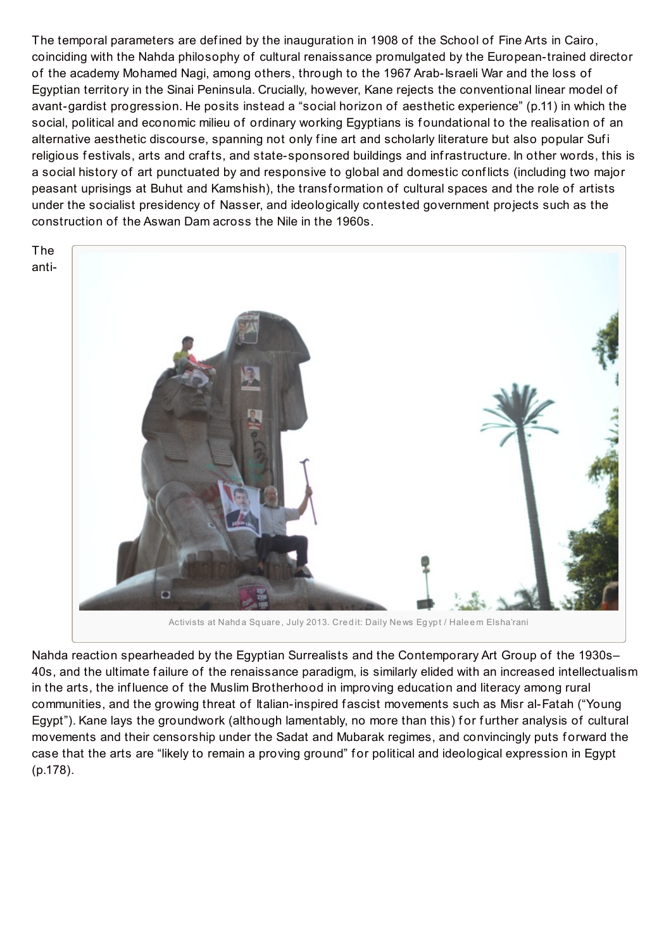The temporal parameters are def ined by the inauguration in 1908 of the School of Fine Arts in Cairo, coinciding with the Nahda philosophy of cultural renaissance promulgated by the European-trained director of the academy Mohamed Nagi, among others, through to the 1967 Arab-Israeli War and the loss of Egyptian territory in the Sinai Peninsula. Crucially, however, Kane rejects the conventional linear model of avant-gardist progression. He posits instead a "social horizon of aesthetic experience" (p.11) in which the social, political and economic milieu of ordinary working Egyptians is f oundational to the realisation of an alternative aesthetic discourse, spanning not only fine art and scholarly literature but also popular Sufi religious festivals, arts and crafts, and state-sponsored buildings and infrastructure. In other words, this is a social history of art punctuated by and responsive to global and domestic conf licts (including two major peasant uprisings at Buhut and Kamshish), the transf ormation of cultural spaces and the role of artists under the socialist presidency of Nasser, and ideologically contested government projects such as the construction of the Aswan Dam across the Nile in the 1960s.

The anti-



Activists at Nahda Square, July 2013. Credit: Daily News Egypt / Haleem Elsha'rani

Nahda reaction spearheaded by the Egyptian Surrealists and the Contemporary Art Group of the 1930s– 40s, and the ultimate f ailure of the renaissance paradigm, is similarly elided with an increased intellectualism in the arts, the inf luence of the Muslim Brotherhood in improving education and literacy among rural communities, and the growing threat of Italian-inspired f ascist movements such as Misr al-Fatah ("Young Egypt"). Kane lays the groundwork (although lamentably, no more than this) for further analysis of cultural movements and their censorship under the Sadat and Mubarak regimes, and convincingly puts f orward the case that the arts are "likely to remain a proving ground" for political and ideological expression in Egypt (p.178).